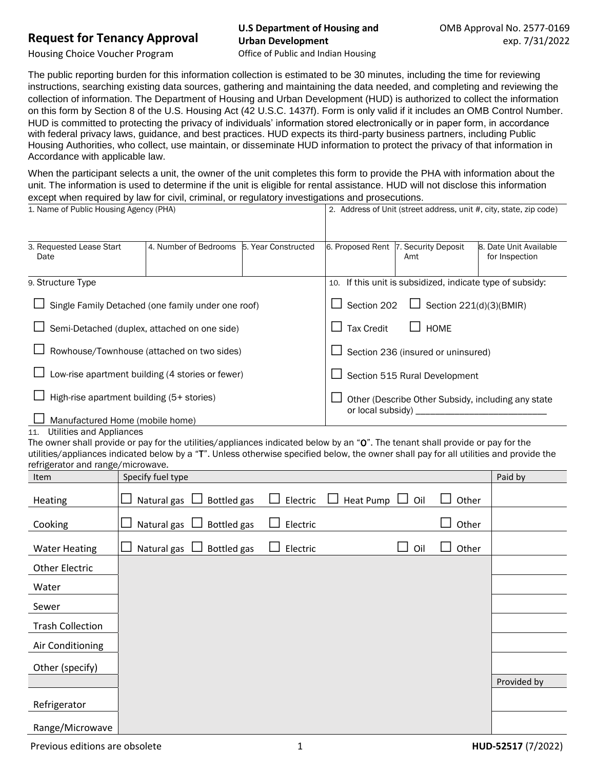## **Request for Tenancy Approval**

## **U.S Department of Housing and Urban Development**

Housing Choice Voucher Program

Office of Public and Indian Housing

The public reporting burden for this information collection is estimated to be 30 minutes, including the time for reviewing instructions, searching existing data sources, gathering and maintaining the data needed, and completing and reviewing the collection of information. The Department of Housing and Urban Development (HUD) is authorized to collect the information on this form by Section 8 of the U.S. Housing Act (42 U.S.C. 1437f). Form is only valid if it includes an OMB Control Number. HUD is committed to protecting the privacy of individuals' information stored electronically or in paper form, in accordance with federal privacy laws, guidance, and best practices. HUD expects its third-party business partners, including Public Housing Authorities, who collect, use maintain, or disseminate HUD information to protect the privacy of that information in Accordance with applicable law.

When the participant selects a unit, the owner of the unit completes this form to provide the PHA with information about the unit. The information is used to determine if the unit is eligible for rental assistance. HUD will not disclose this information except when required by law for civil, criminal, or regulatory investigations and prosecutions.<br>1. Name of Public Housing Agency (PHA)

| 1. Name of Public Housing Agency (PHA)             |                       |                     | 2. Address of Unit (street address, unit #, city, state, zip code)                       |  |  |  |
|----------------------------------------------------|-----------------------|---------------------|------------------------------------------------------------------------------------------|--|--|--|
| 3. Requested Lease Start<br>Date                   | 4. Number of Bedrooms | 5. Year Constructed | 6. Proposed Rent  7. Security Deposit<br>8. Date Unit Available<br>for Inspection<br>Amt |  |  |  |
| 9. Structure Type                                  |                       |                     | If this unit is subsidized, indicate type of subsidy:<br>10.                             |  |  |  |
| Single Family Detached (one family under one roof) |                       |                     | Section 202<br>$\Box$ Section 221(d)(3)(BMIR)                                            |  |  |  |
| Semi-Detached (duplex, attached on one side)       |                       |                     | <b>Tax Credit</b><br><b>HOME</b>                                                         |  |  |  |
| Rowhouse/Townhouse (attached on two sides)         |                       |                     | Section 236 (insured or uninsured)                                                       |  |  |  |
| Low-rise apartment building (4 stories or fewer)   |                       |                     | Section 515 Rural Development                                                            |  |  |  |
| High-rise apartment building (5+ stories)          |                       |                     | Other (Describe Other Subsidy, including any state                                       |  |  |  |
| Manufactured Home (mobile home)                    |                       |                     | or local subsidy)                                                                        |  |  |  |

## 11. Utilities and Appliances

The owner shall provide or pay for the utilities/appliances indicated below by an "O". The tenant shall provide or pay for the utilities/appliances indicated below by a "T". Unless otherwise specified below, the owner shall pay for all utilities and provide the refrigerator and range/microwave.

| ichigarator and range, microwave.<br>Item | Specify fuel type  |                    |          |                      |                    |       | Paid by     |
|-------------------------------------------|--------------------|--------------------|----------|----------------------|--------------------|-------|-------------|
| Heating                                   | Natural gas $\Box$ | <b>Bottled</b> gas | Electric | Heat Pump $\Box$ Oil |                    | Other |             |
| Cooking                                   | Natural gas        | Bottled gas        | Electric |                      |                    | Other |             |
| <b>Water Heating</b>                      | Natural gas        | Bottled gas        | Electric |                      | Oil<br><b>Tara</b> | Other |             |
| Other Electric                            |                    |                    |          |                      |                    |       |             |
| Water                                     |                    |                    |          |                      |                    |       |             |
| Sewer                                     |                    |                    |          |                      |                    |       |             |
| <b>Trash Collection</b>                   |                    |                    |          |                      |                    |       |             |
| Air Conditioning                          |                    |                    |          |                      |                    |       |             |
| Other (specify)                           |                    |                    |          |                      |                    |       |             |
|                                           |                    |                    |          |                      |                    |       | Provided by |
| Refrigerator                              |                    |                    |          |                      |                    |       |             |
| Range/Microwave                           |                    |                    |          |                      |                    |       |             |

Previous editions are obsolete 1 **HUD-52517** (7/2022)